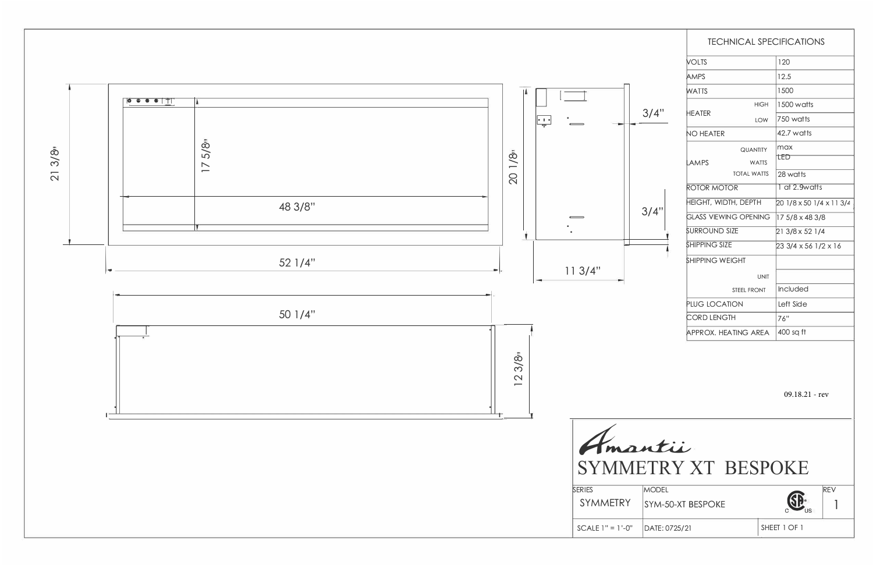

|              | <b>TECHNICAL SPECIFICATIONS</b> |                          |  |
|--------------|---------------------------------|--------------------------|--|
|              | <b>VOLTS</b>                    | 120                      |  |
| 3/4"<br>3/4" | AMPS                            | 12.5                     |  |
|              | WATTS                           | 1500                     |  |
|              | <b>HIGH</b>                     | 1500 watts               |  |
|              | HEATER<br><b>LOW</b>            | 750 watts                |  |
|              | <b>NO HEATER</b>                | 42.7 watts               |  |
|              | <b>QUANTITY</b>                 | max                      |  |
|              | <b>AMPS</b><br><b>WATTS</b>     | TED                      |  |
|              | <b>TOTAL WATTS</b>              | 28 watts                 |  |
|              | ROTOR MOTOR                     | 1 at 2.9watts            |  |
|              | <b>HEIGHT, WIDTH, DEPTH</b>     | 20 1/8 x 50 1/4 x 11 3/4 |  |
|              | <b>GLASS VIEWING OPENING</b>    | 17 5/8 x 48 3/8          |  |
|              | <b>SURROUND SIZE</b>            | 21 3/8 x 52 1/4          |  |
|              | <b>SHIPPING SIZE</b>            | 23 3/4 x 56 1/2 x 16     |  |
|              | <b>SHIPPING WEIGHT</b>          |                          |  |
|              | <b>UNIT</b>                     |                          |  |
|              | STEEL FRONT                     | Included                 |  |
|              | PLUG LOCATION                   | Left Side                |  |
|              | <b>CORD LENGTH</b>              | 76"                      |  |
|              | APPROX. HEATING AREA            | 400 sq ft                |  |
|              |                                 |                          |  |
|              |                                 |                          |  |
|              |                                 |                          |  |
|              |                                 | $09.18.21 - rev$         |  |
|              |                                 |                          |  |